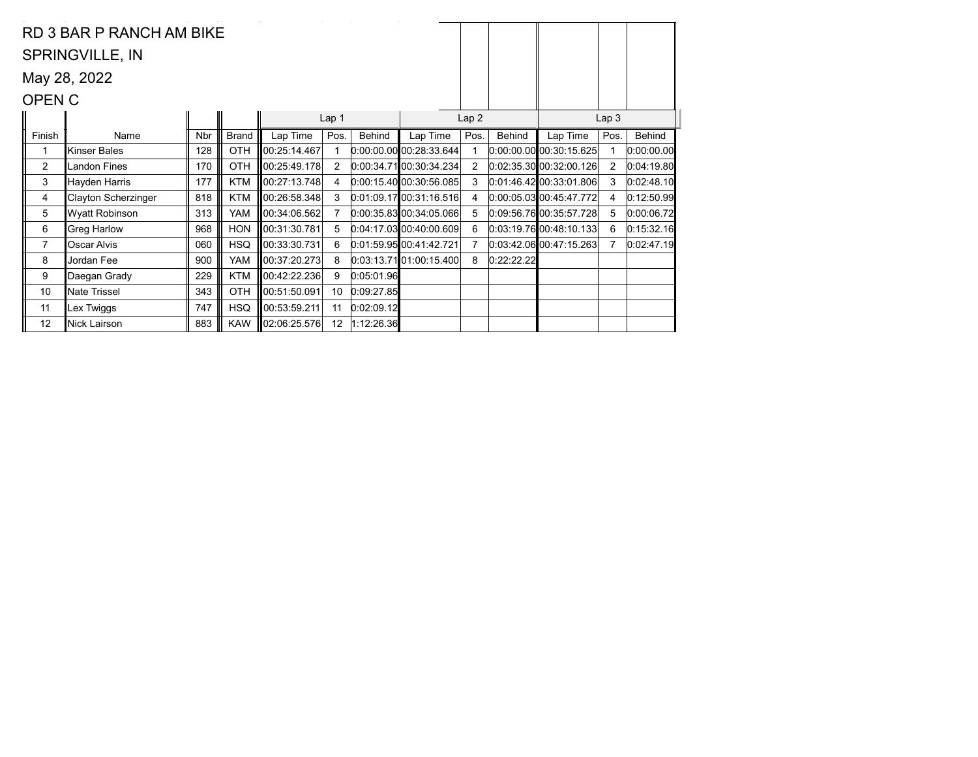|                | RD 3 BAR P RANCH AM BIKE |            |              |                    |                  |            |                           |                |               |                           |                  |            |
|----------------|--------------------------|------------|--------------|--------------------|------------------|------------|---------------------------|----------------|---------------|---------------------------|------------------|------------|
|                | <b>SPRINGVILLE, IN</b>   |            |              |                    |                  |            |                           |                |               |                           |                  |            |
|                | May 28, 2022             |            |              |                    |                  |            |                           |                |               |                           |                  |            |
| <b>OPEN C</b>  |                          |            |              |                    |                  |            |                           |                |               |                           |                  |            |
|                |                          |            |              |                    | Lap <sub>1</sub> |            |                           | Lap2           |               |                           | Lap <sub>3</sub> |            |
| Finish         | Name                     | <b>Nbr</b> | <b>Brand</b> | Lap Time           | Pos.             | Behind     | Lap Time                  | Pos.           | <b>Behind</b> | Lap Time                  | Pos.             | Behind     |
|                | ∥Kinser Bales            | 128        | <b>OTH</b>   | 00:25:14.467       |                  |            | $0.00.00.00$ 00:28:33.644 |                |               | $0:00:00.00$ 00:30:15.625 |                  | 0:00:00.00 |
| $\overline{2}$ | Landon Fines             | 170        | <b>OTH</b>   | 00:25:49.178       | $\overline{2}$   |            | 0:00:34.71 00:30:34.234   | 2              |               | 0.02.35.30 00.32.00.126   | 2                | 0:04:19.80 |
| 3              | ∥Hayden Harris           | 177        | <b>KTM</b>   | 00:27:13.748       | 4                |            | 0:00:15.4000:30:56.085    | 3              |               | $0:01:46.42$ 00:33:01.806 | 3                | 0:02:48.10 |
| 4              | Clayton Scherzinger      | 818        | <b>KTM</b>   | 00:26:58.348       | 3                |            | 0.01.09.1700.31.16.516    | 4              |               | $0.00.05.03$ 00:45:47.772 | 4                | 0:12:50.99 |
| 5              | ∥Wyatt Robinson          | 313        | YAM          | 00:34:06.562       | $\overline{7}$   |            | 0.00.35.83 00.34.05.066   | 5              |               | 0.09.56.7600.35.57.728    | 5                | 0:00:06.72 |
| 6              | Greg Harlow              | 968        | <b>HON</b>   | 00:31:30.781       | 5                |            | 0.04.17.0300.40.00.609    | 6              |               | 0.03.19.7600.48.10.133    | 6                | 0:15:32.16 |
| $\overline{7}$ | Oscar Alvis              | 060        | <b>HSQ</b>   | 00:33:30.731       | 6                |            | 0:01:59.95 00:41:42.721   | $\overline{7}$ |               | $0.03.42.06$ 00:47:15.263 |                  | 0:02:47.19 |
| 8              | Jordan Fee               | 900        | YAM          | 00:37:20.273       | 8                |            | 0.03:13.7101:00:15.400    | 8              | 0:22:22.22    |                           |                  |            |
| 9              | ∥Daegan Grady            | 229        | <b>KTM</b>   | 00:42:22.236       | 9                | 0:05:01.96 |                           |                |               |                           |                  |            |
| 10             | ∥Nate Trissel            | 343        | <b>OTH</b>   | 00:51:50.091       | 10               | 0:09:27.85 |                           |                |               |                           |                  |            |
| 11             | Lex Twiggs               | 747        | <b>HSQ</b>   | 00:53:59.211       | 11               | 0:02:09.12 |                           |                |               |                           |                  |            |
| 12             | Nick Lairson             | 883        | <b>KAW</b>   | $\ 02:06:25.576\ $ | 12               | 1:12:26.36 |                           |                |               |                           |                  |            |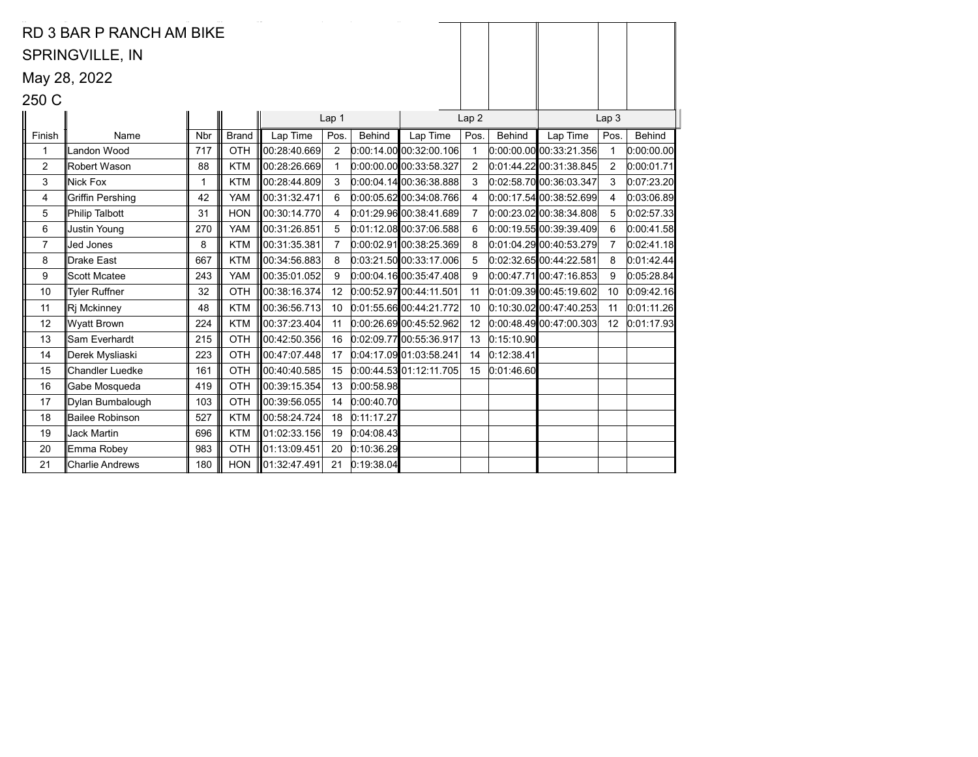|                | SPRINGVILLE, IN         |     |              |              |                |               |                           |                  |               |                           |                  |            |
|----------------|-------------------------|-----|--------------|--------------|----------------|---------------|---------------------------|------------------|---------------|---------------------------|------------------|------------|
|                | May 28, 2022            |     |              |              |                |               |                           |                  |               |                           |                  |            |
| 250 C          |                         |     |              |              |                |               |                           |                  |               |                           |                  |            |
|                |                         |     |              |              | Lap 1          |               |                           | Lap <sub>2</sub> |               |                           | Lap <sub>3</sub> |            |
| Finish         | Name                    | Nbr | <b>Brand</b> | Lap Time     | Pos.           | <b>Behind</b> | Lap Time                  | Pos.             | <b>Behind</b> | Lap Time                  | Pos.             | Behind     |
| $\mathbf{1}$   | Landon Wood             | 717 | OTH          | 00:28:40.669 | 2              |               | 0.00:14.00[00:32:00.106]  | $\mathbf{1}$     |               | $0.00.00.00$ 00:33:21.356 |                  | 0:00:00.00 |
| $\overline{2}$ | Robert Wason            | 88  | <b>KTM</b>   | 00:28:26.669 | $\mathbf{1}$   |               | $0.00.00.00$ 00:33:58.327 | $\overline{2}$   |               | $0.01.44.22$ 00:31:38.845 | 2                | 0:00:01.71 |
| 3              | Nick Fox                | 1   | <b>KTM</b>   | 00:28:44.809 | 3              |               | 0.00.04.1400.36.38.888    | 3                |               | 0:02:58.70 00:36:03.347   | 3                | 0:07:23.20 |
| 4              | <b>Griffin Pershing</b> | 42  | <b>YAM</b>   | 00:31:32.471 | 6              |               | 0.00.05.62 00.34.08.766   | 4                |               | 0.00.17.54 00.38.52.699   | 4                | 0:03:06.89 |
| 5              | <b>Philip Talbott</b>   | 31  | <b>HON</b>   | 00:30:14.770 | 4              |               | 0.01.29.96 00.38.41.689   | 7                |               | $0.00.23.02$ 00:38:34.808 | 5                | 0:02:57.33 |
| 6              | Justin Young            | 270 | <b>YAM</b>   | 00:31:26.851 | 5              |               | $0.01:12.08$ 00:37:06.588 | 6                |               | 0.00:19.5500:39.39.409    | 6                | 0:00:41.58 |
| $\overline{7}$ | <b>Jed Jones</b>        | 8   | <b>KTM</b>   | 00:31:35.381 | $\overline{7}$ |               | $0.00.02.91$ 00:38:25.369 | 8                |               | 0.01.04.29 00.40.53.279   | $\overline{7}$   | 0:02:41.18 |
| 8              | Drake East              | 667 | <b>KTM</b>   | 00:34:56.883 | 8              |               | 0.03:21.50 00.33:17.006   | 5                |               | 0:02:32.65 00:44:22.581   | 8                | 0:01:42.44 |
| 9              | <b>Scott Mcatee</b>     | 243 | <b>YAM</b>   | 00:35:01.052 | 9              |               | 0.00.04.1600.35.47.408    | 9                |               | $0.00.47.71$ 00:47:16.853 | 9                | 0:05:28.84 |
| 10             | <b>Tyler Ruffner</b>    | 32  | OTH          | 00:38:16.374 | 12             |               | 0:00:52.97 00:44:11.501   | 11               |               | 0.01.09.39 00.45.19.602   | 10               | 0:09:42.16 |
| 11             | Ri Mckinney             | 48  | <b>KTM</b>   | 00:36:56.713 | 10             |               | 0.01:55.6600:44:21.772    | 10               |               | $0:10:30.02$ 00:47:40.253 | 11               | 0:01:11.26 |
| 12             | <b>Wyatt Brown</b>      | 224 | <b>KTM</b>   | 00:37:23.404 | 11             |               | 0.00.26.6900.45.52.962    | 12 <sup>2</sup>  |               | 0:00:48.49 00:47:00.303   | 12 <sup>2</sup>  | 0:01:17.93 |
| 13             | Sam Everhardt           | 215 | OTH          | 00:42:50.356 | 16             |               | 0:02:09.77 00:55:36.917   | 13               | 0:15:10.90    |                           |                  |            |
| 14             | Derek Mysliaski         | 223 | OTH          | 00:47:07.448 | 17             |               | 0:04:17.09 01:03:58.241   | 14               | 0:12:38.41    |                           |                  |            |
| 15             | <b>Chandler Luedke</b>  | 161 | <b>OTH</b>   | 00:40:40.585 | 15             |               | 0:00:44.53 01:12:11.705   | 15               | 0.01.46.60    |                           |                  |            |
| 16             | Gabe Mosqueda           | 419 | OTH          | 00:39:15.354 | 13             | 0:00:58.98    |                           |                  |               |                           |                  |            |
| 17             | Dylan Bumbalough        | 103 | OTH          | 00:39:56.055 | 14             | 0:00:40.70    |                           |                  |               |                           |                  |            |
| 18             | <b>Bailee Robinson</b>  | 527 | <b>KTM</b>   | 00:58:24.724 | 18             | 0:11:17.27    |                           |                  |               |                           |                  |            |
| 19             | <b>Jack Martin</b>      | 696 | <b>KTM</b>   | 01:02:33.156 | 19             | 0:04:08.43    |                           |                  |               |                           |                  |            |
| 20             | Emma Robey              | 983 | OTH          | 01:13:09.451 | 20             | 0:10:36.29    |                           |                  |               |                           |                  |            |
| 21             | <b>Charlie Andrews</b>  | 180 | <b>HON</b>   | 01:32:47.491 | 21             | 0:19:38.04    |                           |                  |               |                           |                  |            |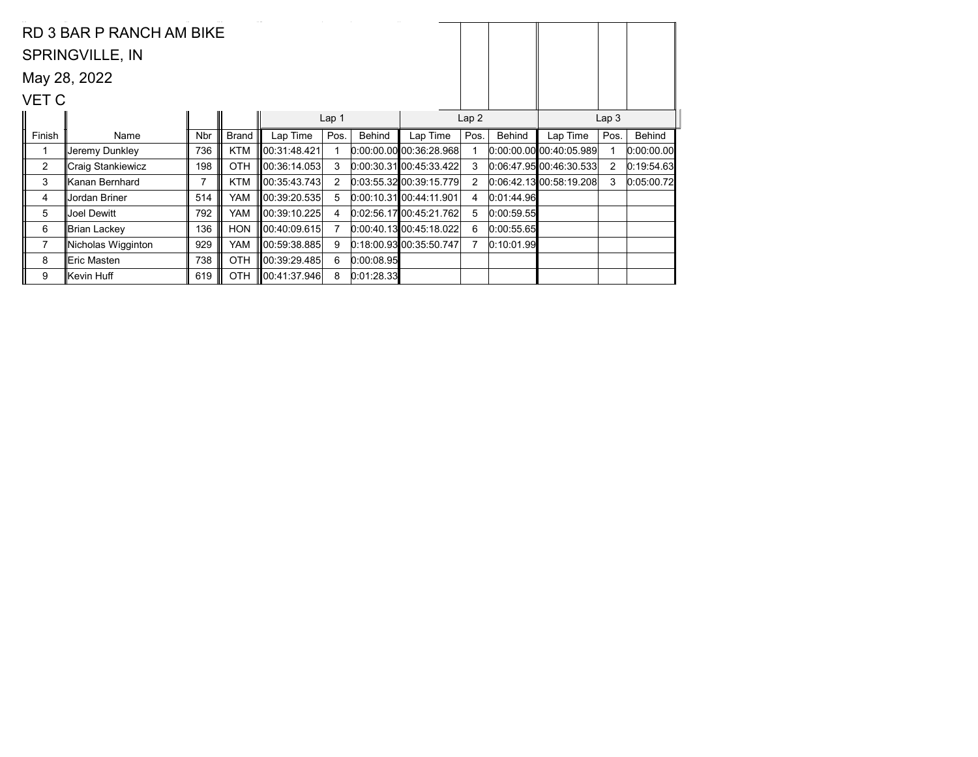|                | RD 3 BAR P RANCH AM BIKE |            |              |               |                |            |                           |                |               |                           |                  |            |
|----------------|--------------------------|------------|--------------|---------------|----------------|------------|---------------------------|----------------|---------------|---------------------------|------------------|------------|
|                | <b>SPRINGVILLE, IN</b>   |            |              |               |                |            |                           |                |               |                           |                  |            |
|                | May 28, 2022             |            |              |               |                |            |                           |                |               |                           |                  |            |
| VET C          |                          |            |              |               |                |            |                           |                |               |                           |                  |            |
|                |                          |            |              |               | Lap 1          |            |                           | Lap2           |               |                           | Lap <sub>3</sub> |            |
| Finish         | Name                     | <b>Nbr</b> | <b>Brand</b> | Lap Time      | Pos.           | Behind     | Lap Time                  | Pos.           | <b>Behind</b> | Lap Time                  | Pos.             | Behind     |
|                | Jeremy Dunkley           | 736        | <b>KTM</b>   | 00:31:48.421  |                |            | $0.00.00$ 00 00 36:28.968 |                |               | $0.00.00.00$ 00:40:05.989 |                  | 0:00:00.00 |
| $\overline{2}$ | ∥Craig Stankiewicz       | 198        | OTH          | 00:36:14.053  | 3              |            | $0:00:30.31$ 00:45:33.422 | 3              |               | 0.06:47.9500:46.30.533    | 2                | 0:19:54.63 |
| 3              | ∥Kanan Bernhard          | 7          | <b>KTM</b>   | 00:35:43.743  | $\overline{2}$ |            | $0:03:55.32$ 00:39:15.779 | $\overline{2}$ |               | 0.06.42.1300.58.19.208    | 3                | 0:05:00.72 |
| 4              | Jordan Briner            | 514        | YAM          | 00:39:20.535  | 5              |            | $0:00:10.31$ 00:44:11.901 | 4              | 0:01:44.96    |                           |                  |            |
| 5              | Joel Dewitt              | 792        | YAM          | 00:39:10.225  | 4              |            | 0.02:56.17100:45:21.762   | 5.             | 0:00:59.55    |                           |                  |            |
| 6              | ∥Brian Lackey            | 136        | <b>HON</b>   | 00:40:09.615  | $\overline{7}$ |            | 0:00.40.1300.45:18.022    | 6              | 0:00:55.65    |                           |                  |            |
| $\overline{7}$ | Nicholas Wigginton       | 929        | YAM          | 00:59:38.885  | 9              |            | $0:18:00.93$ 00:35:50.747 | 7              | 0:10:01.99    |                           |                  |            |
| 8              | ∥Eric Masten             | 738        | OTH          | 00:39:29.485  | 6              | 0:00:08.95 |                           |                |               |                           |                  |            |
| 9              | ∥Kevin Huff              | 619        | <b>OTH</b>   | 100:41:37.946 | 8              | 0:01:28.33 |                           |                |               |                           |                  |            |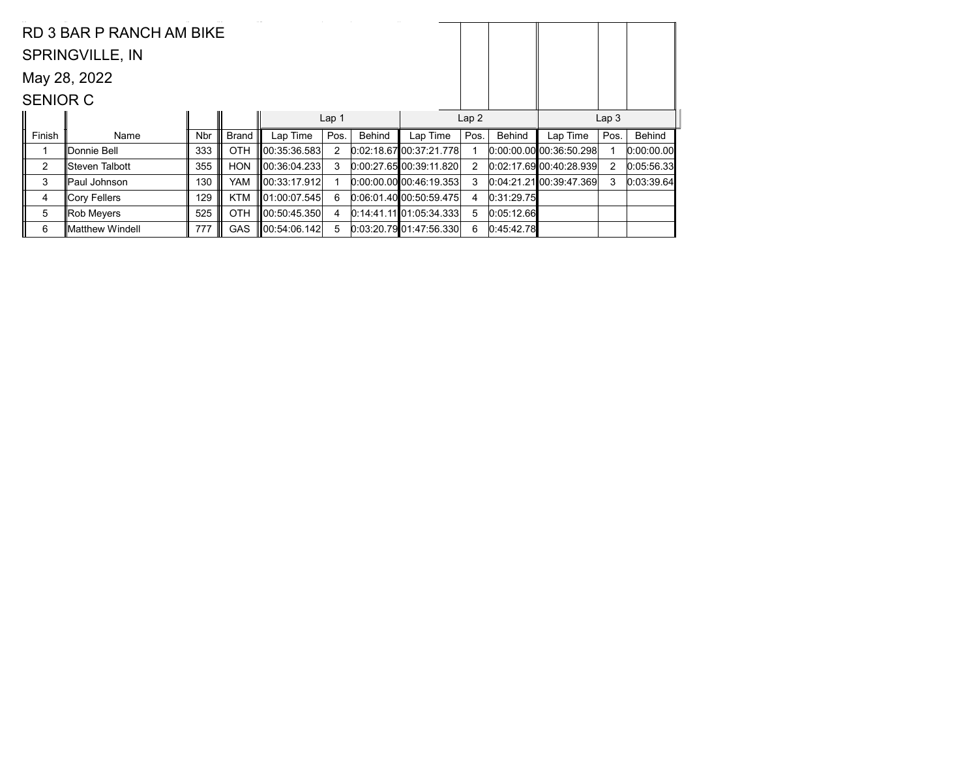|                 | RD 3 BAR P RANCH AM BIKE |            |              |               |                  |        |                             |      |            |                           |      |            |
|-----------------|--------------------------|------------|--------------|---------------|------------------|--------|-----------------------------|------|------------|---------------------------|------|------------|
|                 | <b>SPRINGVILLE, IN</b>   |            |              |               |                  |        |                             |      |            |                           |      |            |
|                 | May 28, 2022             |            |              |               |                  |        |                             |      |            |                           |      |            |
| <b>SENIOR C</b> |                          |            |              |               |                  |        |                             |      |            |                           |      |            |
|                 |                          |            | Lap2         |               | Lap <sub>3</sub> |        |                             |      |            |                           |      |            |
| Finish          | Name                     | <b>Nbr</b> | <b>Brand</b> | Lap Time      | Pos.             | Behind | Lap Time                    | Pos. | Behind     | Lap Time                  | Pos. | Behind     |
|                 | ∥Donnie Bell             | 333        | <b>OTH</b>   | 00:35:36.583  | $\overline{2}$   |        | 0.02.18.6700.37.21.778      |      |            | $0:00:00.00$ 00:36:50.298 |      | 0:00:00.00 |
| $\overline{2}$  | ∥Steven Talbott          | 355        | <b>HON</b>   | 100:36:04.233 | 3                |        | 0.00:27.6500:39:11.820      | 2    |            | 0.02:17.6900:40.28.939    | 2    | 0:05:56.33 |
| 3               | ∥Paul Johnson            | 130        | YAM          | 100:33:17.912 |                  |        | 0.00.00.00 00.46.19.353     | 3    |            | $0.04:21.21$ 00:39:47.369 | 3    | 0:03:39.64 |
|                 | ∥Cory Fellers            | 129        | <b>KTM</b>   | 01:00:07.545  | 6                |        | 0.06.01.40 00.50.59.475     | 4    | 0:31:29.75 |                           |      |            |
| 4               |                          |            |              |               |                  |        |                             |      |            |                           |      |            |
| 5               | Rob Meyers               | 525        | <b>OTH</b>   | 00:50:45.350  | 4                |        | $0:14:41.11$ $01:05:34.333$ | 5    | 0:05:12.66 |                           |      |            |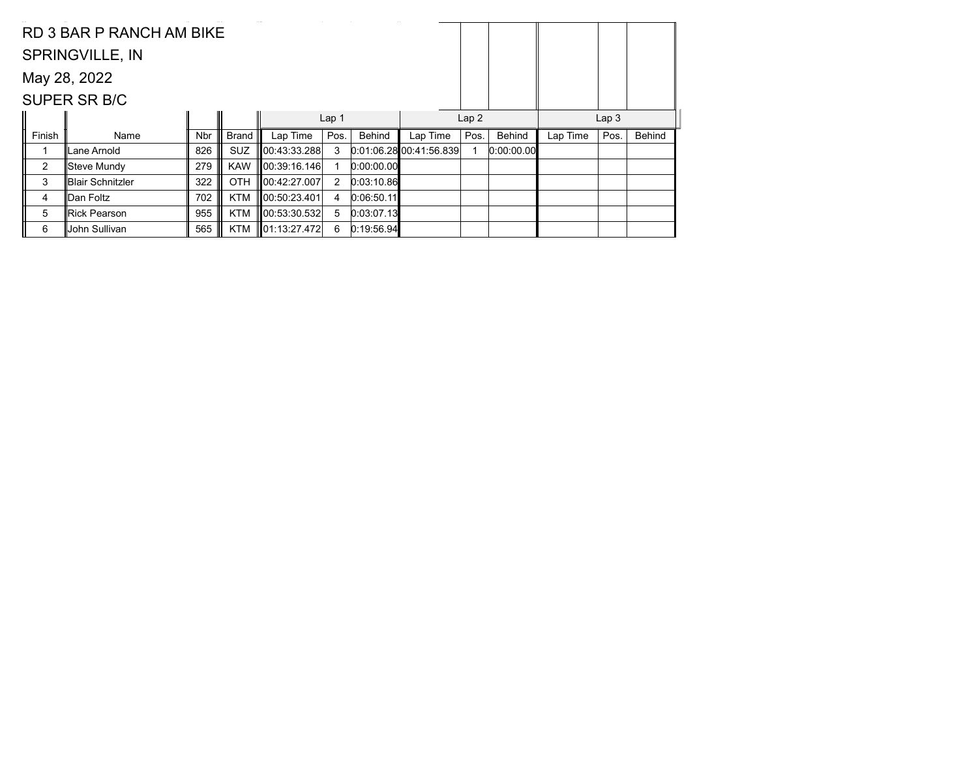|        | RD 3 BAR P RANCH AM BIKE |            |              |              |                  |            |                        |      |            |          |                  |               |
|--------|--------------------------|------------|--------------|--------------|------------------|------------|------------------------|------|------------|----------|------------------|---------------|
|        | <b>SPRINGVILLE, IN</b>   |            |              |              |                  |            |                        |      |            |          |                  |               |
|        | May 28, 2022             |            |              |              |                  |            |                        |      |            |          |                  |               |
|        | SUPER SR B/C             |            |              |              |                  |            |                        |      |            |          |                  |               |
|        |                          |            |              |              | Lap <sub>1</sub> |            |                        | Lap2 |            |          | Lap <sub>3</sub> |               |
| Finish | Name                     | <b>Nbr</b> | <b>Brand</b> | Lap Time     | Pos.             | Behind     | Lap Time               | Pos. | Behind     | Lap Time | Pos.             | <b>Behind</b> |
|        | Lane Arnold              | 826        | <b>SUZ</b>   | 00:43:33.288 | 3                |            | 0.01:06.2800:41:56.839 |      | 0:00:00.00 |          |                  |               |
|        |                          |            |              |              |                  |            |                        |      |            |          |                  |               |
| 2      | Steve Mundy              | 279        | <b>KAW</b>   | 00:39:16.146 |                  | 0:00:00.00 |                        |      |            |          |                  |               |
| 3      | Blair Schnitzler         | 322        | <b>OTH</b>   | 00:42:27.007 | 2                | 0:03:10.86 |                        |      |            |          |                  |               |
| 4      | Dan Foltz                | 702        | <b>KTM</b>   | 00:50:23.401 | 4                | 0:06:50.11 |                        |      |            |          |                  |               |
| 5      | Rick Pearson             | 955        | <b>KTM</b>   | 00:53:30.532 | 5                | 0:03:07.13 |                        |      |            |          |                  |               |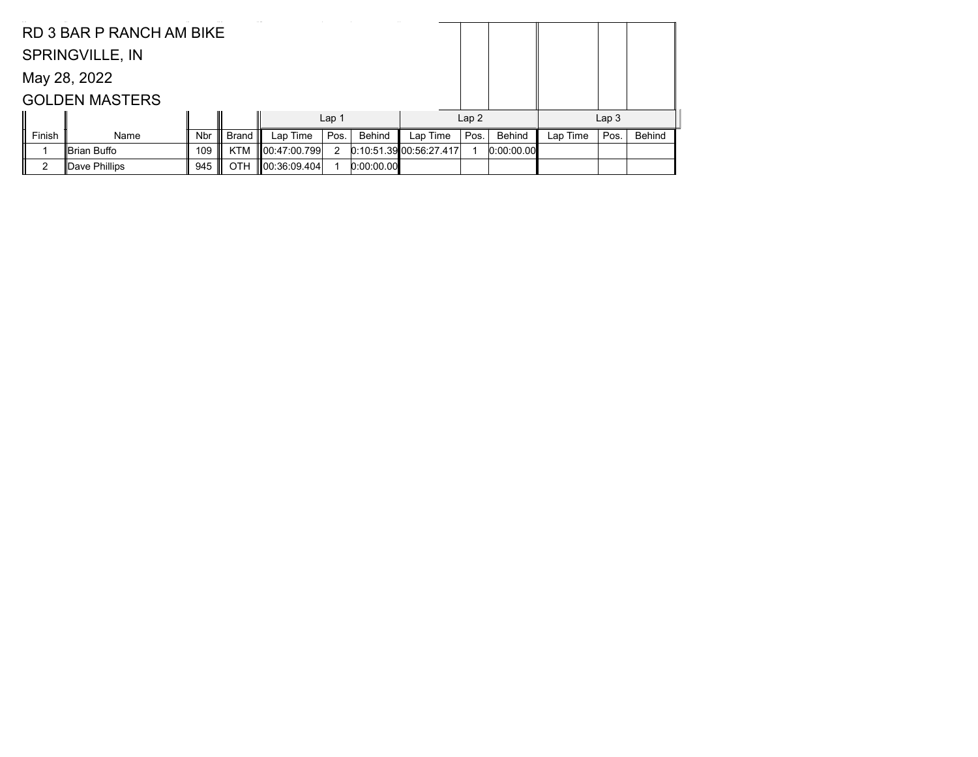|        | RD 3 BAR P RANCH AM BIKE |            |              |                    |                  |            |                         |      |            |          |                  |               |
|--------|--------------------------|------------|--------------|--------------------|------------------|------------|-------------------------|------|------------|----------|------------------|---------------|
|        | <b>SPRINGVILLE, IN</b>   |            |              |                    |                  |            |                         |      |            |          |                  |               |
|        | May 28, 2022             |            |              |                    |                  |            |                         |      |            |          |                  |               |
|        | <b>GOLDEN MASTERS</b>    |            |              |                    |                  |            |                         |      |            |          |                  |               |
|        |                          |            |              |                    | Lap <sub>1</sub> |            |                         | Lap2 |            |          | Lap <sub>3</sub> |               |
| Finish | Name                     | <b>Nbr</b> | <b>Brand</b> | Lap Time           | Pos.             | Behind     | Lap Time                | Pos. | Behind     | Lap Time | Pos.             | <b>Behind</b> |
|        | Brian Buffo              | 109        | <b>KTM</b>   | 00:47:00.799       | 2                |            | 0:10:51.39 00:56:27.417 |      | 0:00:00.00 |          |                  |               |
| ົ      | ∥Dave Phillips           | 945        | OTH          | $\ 00:36:09.404\ $ |                  | 0:00:00.00 |                         |      |            |          |                  |               |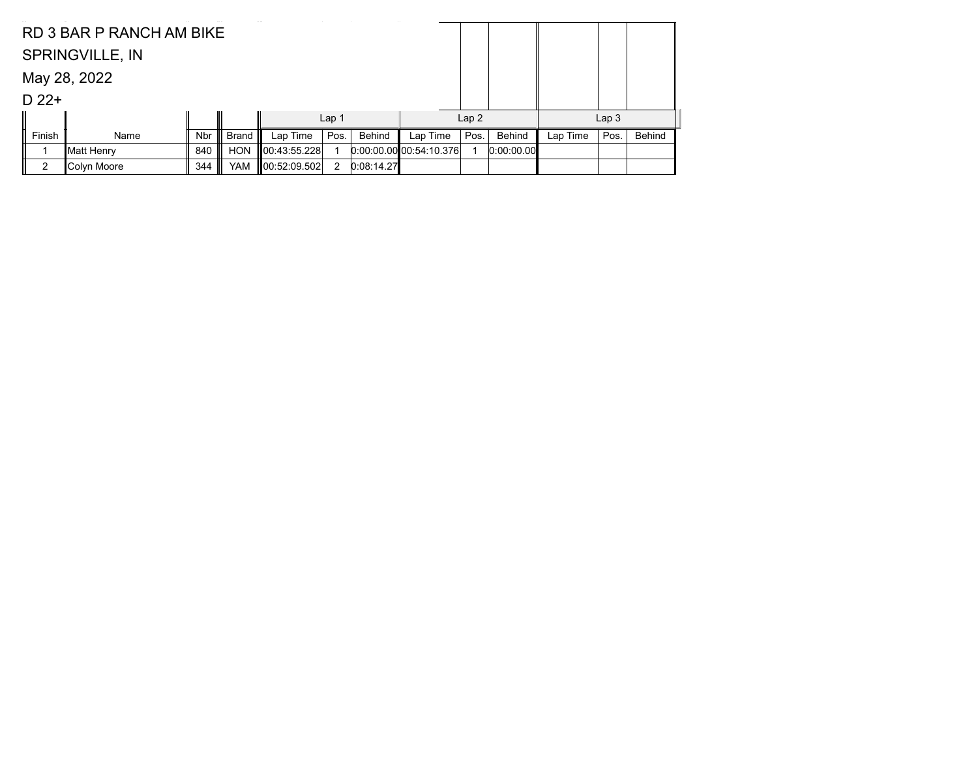|         | RD 3 BAR P RANCH AM BIKE |            |            |              |                  |            |                          |      |            |          |                  |               |
|---------|--------------------------|------------|------------|--------------|------------------|------------|--------------------------|------|------------|----------|------------------|---------------|
|         | <b>SPRINGVILLE, IN</b>   |            |            |              |                  |            |                          |      |            |          |                  |               |
|         | May 28, 2022             |            |            |              |                  |            |                          |      |            |          |                  |               |
| $D$ 22+ |                          |            |            |              |                  |            |                          |      |            |          |                  |               |
|         |                          |            |            |              | Lap <sub>1</sub> |            |                          | Lap2 |            |          | Lap <sub>3</sub> |               |
| Finish  | Name                     | <b>Nbr</b> | Brand      | Lap Time     | Pos.             | Behind     | Lap Time                 | Pos. | Behind     | Lap Time | Pos.             | <b>Behind</b> |
|         | ∥Matt Henry              | 840        | <b>HON</b> | 00:43:55.228 |                  |            | 0.00.00.000000034:10.376 |      | 0.00:00.00 |          |                  |               |
| 2       | ∥Colyn Moore             | 344        | YAM        | 00:52:09.502 | 2                | 0:08:14.27 |                          |      |            |          |                  |               |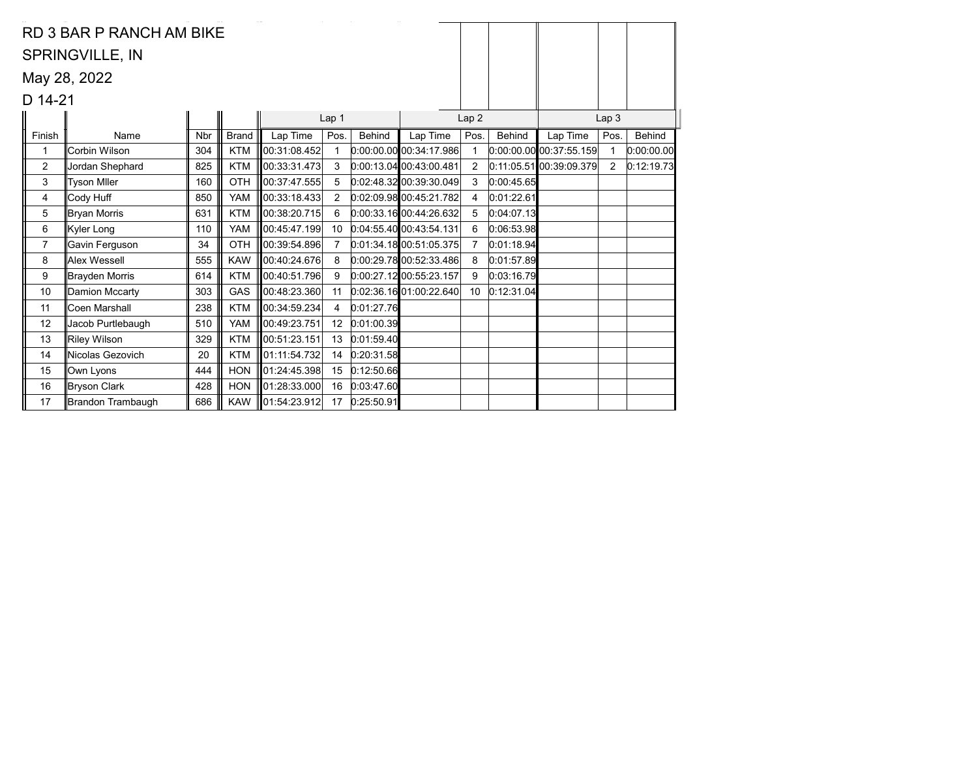|                | RD 3 BAR P RANCH AM BIKE |            |              |               |                |            |                           |                |               |                           |                  |            |
|----------------|--------------------------|------------|--------------|---------------|----------------|------------|---------------------------|----------------|---------------|---------------------------|------------------|------------|
|                | <b>SPRINGVILLE, IN</b>   |            |              |               |                |            |                           |                |               |                           |                  |            |
|                |                          |            |              |               |                |            |                           |                |               |                           |                  |            |
|                | May 28, 2022             |            |              |               |                |            |                           |                |               |                           |                  |            |
| D 14-21        |                          |            |              |               |                |            |                           |                |               |                           |                  |            |
|                |                          |            |              |               | Lap 1          |            |                           | Lap 2          |               |                           | Lap <sub>3</sub> |            |
| Finish         | Name                     | <b>Nbr</b> | <b>Brand</b> | Lap Time      | Pos.           | Behind     | Lap Time                  | Pos.           | <b>Behind</b> | Lap Time                  | Pos.             | Behind     |
| 1              | Corbin Wilson            | 304        | <b>KTM</b>   | 00:31:08.452  | 1              |            | $0.00.00.00$ 00:34:17.986 | 1              |               | $0.00.00.00$ 00:37:55.159 |                  | 0:00:00.00 |
| $\overline{2}$ | Jordan Shephard          | 825        | <b>KTM</b>   | 00:33:31.473  | 3              |            | $0.00:13.04$ 00:43:00.481 | $\overline{2}$ |               | $0:11:05.51$ 00:39:09.379 | $\overline{2}$   | 0:12:19.73 |
| 3              | <b>Tyson Miler</b>       | 160        | OTH          | 00:37:47.555  | 5              |            | 0.02.48.32 00.39.30.049   | 3              | 0:00:45.65    |                           |                  |            |
| 4              | Cody Huff                | 850        | <b>YAM</b>   | 00:33:18.433  | 2              |            | 0.02.09.9800.45.21.782    | 4              | 0:01:22.61    |                           |                  |            |
| 5              | ∥Bryan Morris            | 631        | <b>KTM</b>   | 00:38:20.715  | 6              |            | 0.00.33.1600.44.26.632    | 5              | 0:04:07.13    |                           |                  |            |
| 6              | Kyler Long               | 110        | <b>YAM</b>   | 00:45:47.199  | 10             |            | 0.04:55.40[00.43:54.131]  | 6              | 0:06:53.98    |                           |                  |            |
| $\overline{7}$ | Gavin Ferguson           | 34         | OTH          | 100:39:54.896 | $\overline{7}$ |            | 0.01.34.1800.51.05.375    | $\overline{7}$ | 0:01:18.94    |                           |                  |            |
| 8              | Alex Wessell             | 555        | <b>KAW</b>   | 100:40:24.676 | 8              |            | 0.00.29.7800.52.33.486    | 8              | 0:01:57.89    |                           |                  |            |
| 9              | Brayden Morris           | 614        | <b>KTM</b>   | 00:40:51.796  | 9              |            | $0:00:27.12$ 00:55:23.157 | 9              | 0:03:16.79    |                           |                  |            |
| 10             | Damion Mccarty           | 303        | GAS          | 00:48:23.360  | 11             |            | 0.02.36.1601.00.22.640    | 10             | 0:12:31.04    |                           |                  |            |
| 11             | Coen Marshall            | 238        | <b>KTM</b>   | 00:34:59.234  | 4              | 0:01:27.76 |                           |                |               |                           |                  |            |
| 12             | Jacob Purtlebaugh        | 510        | <b>YAM</b>   | 00:49:23.751  | 12             | 0:01:00.39 |                           |                |               |                           |                  |            |
| 13             | <b>Riley Wilson</b>      | 329        | <b>KTM</b>   | 00:51:23.151  | 13             | 0:01:59.40 |                           |                |               |                           |                  |            |
| 14             | Nicolas Gezovich         | 20         | <b>KTM</b>   | 01:11:54.732  | 14             | 0:20:31.58 |                           |                |               |                           |                  |            |
| 15             | Own Lyons                | 444        | <b>HON</b>   | 01:24:45.398  | 15             | 0:12:50.66 |                           |                |               |                           |                  |            |
| 16             | Bryson Clark             | 428        | <b>HON</b>   | 01:28:33.000  | 16             | 0:03:47.60 |                           |                |               |                           |                  |            |
| 17             | Brandon Trambaugh        | 686        | <b>KAW</b>   | 01:54:23.912  | 17             | 0:25:50.91 |                           |                |               |                           |                  |            |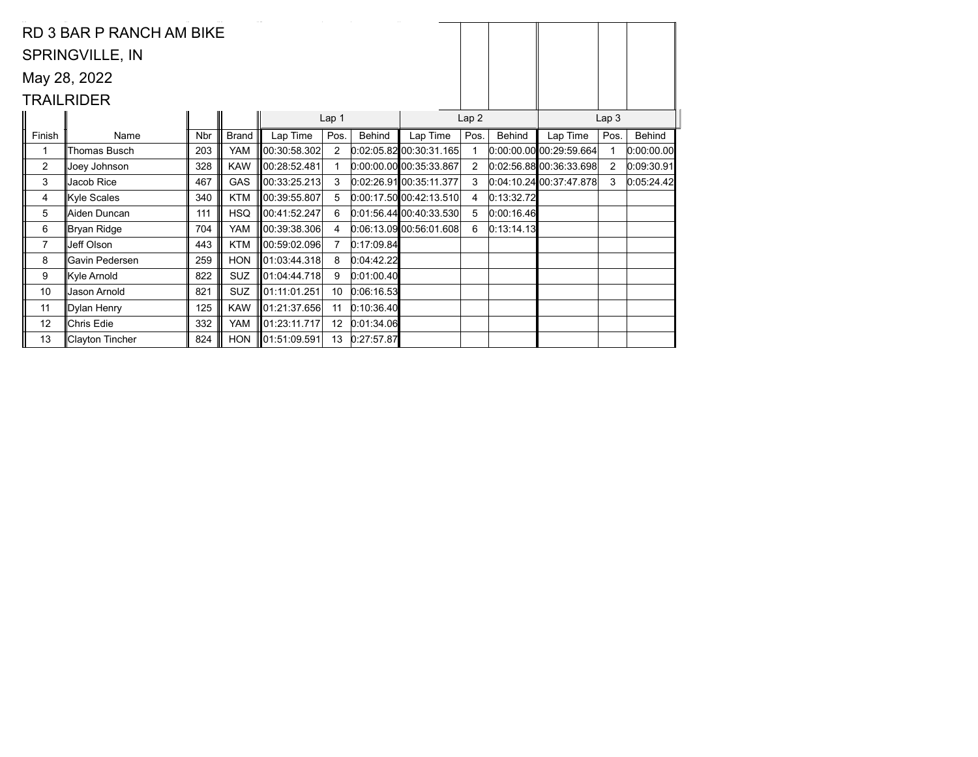|                | RD 3 BAR P RANCH AM BIKE |            |              |                    |                  |            |                           |                |               |                           |                  |            |
|----------------|--------------------------|------------|--------------|--------------------|------------------|------------|---------------------------|----------------|---------------|---------------------------|------------------|------------|
|                | <b>SPRINGVILLE, IN</b>   |            |              |                    |                  |            |                           |                |               |                           |                  |            |
|                | May 28, 2022             |            |              |                    |                  |            |                           |                |               |                           |                  |            |
|                | <b>TRAILRIDER</b>        |            |              |                    |                  |            |                           |                |               |                           |                  |            |
|                |                          |            |              |                    | Lap <sub>1</sub> |            |                           | Lap2           |               |                           | Lap <sub>3</sub> |            |
| Finish         | Name                     | <b>Nbr</b> | <b>Brand</b> | Lap Time           | Pos.             | Behind     | Lap Time                  | Pos.           | <b>Behind</b> | Lap Time                  | Pos.             | Behind     |
|                | Thomas Busch             | 203        | YAM          | 00:30:58.302       | 2                |            | 0.02.05.82 00.30.31.165   |                |               | 0.00.00.00000:29.59.664   |                  | 0:00:00.00 |
| $\overline{2}$ | Joey Johnson             | 328        | <b>KAW</b>   | 100:28:52.481∛     |                  |            | $0.00.00.00$ 00:35:33.867 | $\overline{2}$ |               | 0.02.56.88000.36.33.698   | $\overline{2}$   | 0:09:30.91 |
| 3              | Jacob Rice               | 467        | GAS          | 00:33:25.213       | 3                |            | 0:02:26.91 00:35:11.377   | 3              |               | $0.04.10.24$ 00:37:47.878 | 3                | 0:05:24.42 |
| 4              | Kyle Scales              | 340        | <b>KTM</b>   | 00:39:55.807       | 5                |            | $0:00:17.50$ 00:42:13.510 | 4              | 0:13:32.72    |                           |                  |            |
| 5              | Aiden Duncan             | 111        | <b>HSQ</b>   | 00:41:52.247       | 6                |            | $0.01.56.44$ 00:40:33.530 | 5              | 0:00:16.46    |                           |                  |            |
| 6              | ∥Bryan Ridge             | 704        | YAM          | 100:39:38.306      | 4                |            | 0.06.13.09 00.56.01.608   | 6              | 0:13:14.13    |                           |                  |            |
| $\overline{7}$ | Jeff Olson               | 443        | <b>KTM</b>   | 100:59:02.096      | $\overline{7}$   | 0:17:09.84 |                           |                |               |                           |                  |            |
| 8              | Gavin Pedersen           | 259        | <b>HON</b>   | 01:03:44.318       | 8                | 0:04:42.22 |                           |                |               |                           |                  |            |
| 9              | Kyle Arnold              | 822        | SUZ          | 01:04:44.718       | 9                | 0:01:00.40 |                           |                |               |                           |                  |            |
| 10             | Jason Arnold             | 821        | SUZ          | 01:11:01.251       | 10 <sup>°</sup>  | 0:06:16.53 |                           |                |               |                           |                  |            |
| 11             | Dylan Henry              | 125        | <b>KAW</b>   | 01:21:37.656       | 11               | 0:10:36.40 |                           |                |               |                           |                  |            |
| 12             | Chris Edie               | 332        | YAM          | 01:23:11.717       | 12               | 0:01:34.06 |                           |                |               |                           |                  |            |
| 13             | ∥Clayton Tincher         | 824        | <b>HON</b>   | $\ 01:51:09.591\ $ | 13               | 0:27:57.87 |                           |                |               |                           |                  |            |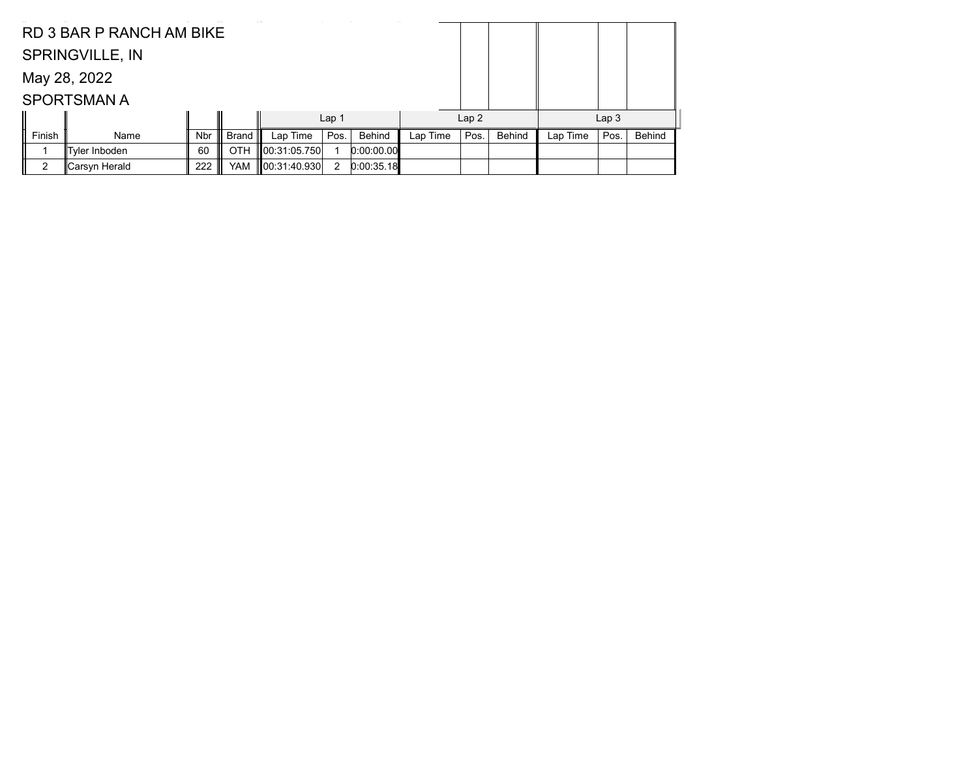|        | RD 3 BAR P RANCH AM BIKE |            |              |              |                  |            |          |      |        |          |                  |               |
|--------|--------------------------|------------|--------------|--------------|------------------|------------|----------|------|--------|----------|------------------|---------------|
|        | <b>SPRINGVILLE, IN</b>   |            |              |              |                  |            |          |      |        |          |                  |               |
|        | May 28, 2022             |            |              |              |                  |            |          |      |        |          |                  |               |
|        | <b>SPORTSMAN A</b>       |            |              |              |                  |            |          |      |        |          |                  |               |
|        |                          |            |              |              | Lap <sub>1</sub> |            |          | Lap2 |        |          | Lap <sub>3</sub> |               |
| Finish | Name                     | <b>Nbr</b> | <b>Brand</b> | Lap Time     | Pos.             | Behind     | Lap Time | Pos. | Behind | Lap Time | Pos.             | <b>Behind</b> |
|        | Tyler Inboden            | 60         | OTH          | 00:31:05.750 |                  | 0:00:00.00 |          |      |        |          |                  |               |
| 2      | Carsyn Herald            | 222        | YAM          | 00:31:40.930 | 2                | 0:00:35.18 |          |      |        |          |                  |               |